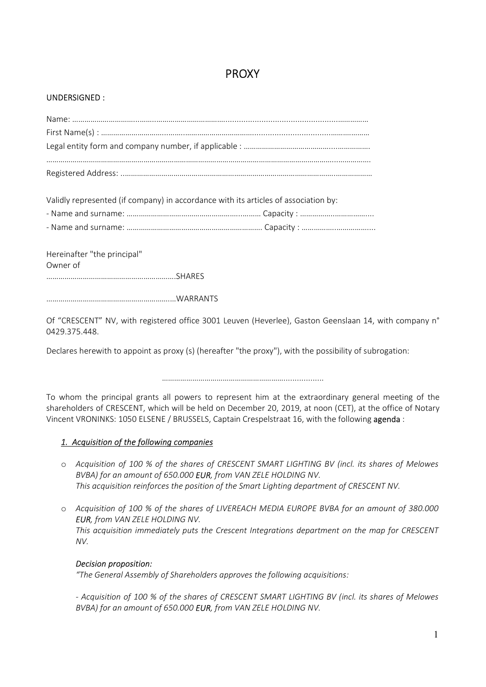# PROXY

## UNDERSIGNED :

Validly represented (if company) in accordance with its articles of association by:

- Name and surname: …………………………………………………………. Capacity : ……………..……………....

Hereinafter "the principal" Owner of ……………………………………………………….SHARES

…………………………………………………….…WARRANTS

Of "CRESCENT" NV, with registered office 3001 Leuven (Heverlee), Gaston Geenslaan 14, with company n° 0429.375.448.

Declares herewith to appoint as proxy (s) (hereafter "the proxy"), with the possibility of subrogation:

……………………………………………………..................

To whom the principal grants all powers to represent him at the extraordinary general meeting of the shareholders of CRESCENT, which will be held on December 20, 2019, at noon (CET), at the office of Notary Vincent VRONINKS: 1050 ELSENE / BRUSSELS, Captain Crespelstraat 16, with the following agenda :

# 1. Acquisition of the following companies

- o Acquisition of 100 % of the shares of CRESCENT SMART LIGHTING BV (incl. its shares of Melowes BVBA) for an amount of 650.000 EUR, from VAN ZELE HOLDING NV. This acquisition reinforces the position of the Smart Lighting department of CRESCENT NV.
- o Acquisition of 100 % of the shares of LIVEREACH MEDIA EUROPE BVBA for an amount of 380.000 EUR, from VAN ZELE HOLDING NV. This acquisition immediately puts the Crescent Integrations department on the map for CRESCENT NV.

# Decision proposition:

"The General Assembly of Shareholders approves the following acquisitions:

- Acquisition of 100 % of the shares of CRESCENT SMART LIGHTING BV (incl. its shares of Melowes BVBA) for an amount of 650.000 EUR, from VAN ZELE HOLDING NV.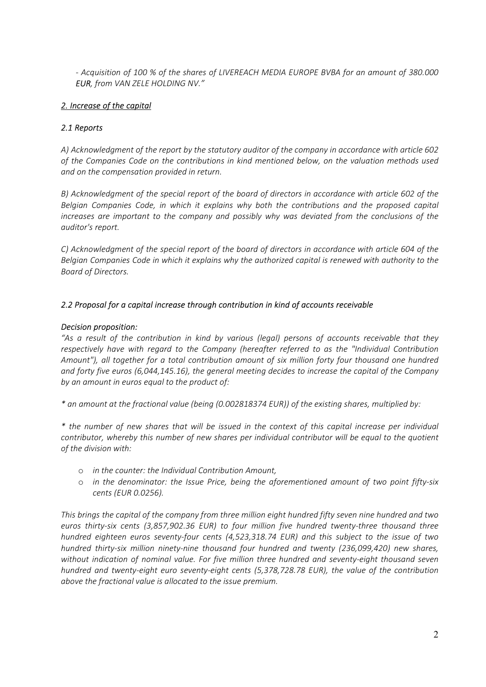- Acquisition of 100 % of the shares of LIVEREACH MEDIA EUROPE BVBA for an amount of 380.000 EUR, from VAN ZELE HOLDING NV."

# 2. Increase of the capital

# 2.1 Reports

A) Acknowledgment of the report by the statutory auditor of the company in accordance with article 602 of the Companies Code on the contributions in kind mentioned below, on the valuation methods used and on the compensation provided in return.

B) Acknowledgment of the special report of the board of directors in accordance with article 602 of the Belgian Companies Code, in which it explains why both the contributions and the proposed capital increases are important to the company and possibly why was deviated from the conclusions of the auditor's report.

C) Acknowledgment of the special report of the board of directors in accordance with article 604 of the Belgian Companies Code in which it explains why the authorized capital is renewed with authority to the Board of Directors.

# 2.2 Proposal for a capital increase through contribution in kind of accounts receivable

# Decision proposition:

"As a result of the contribution in kind by various (legal) persons of accounts receivable that they respectively have with regard to the Company (hereafter referred to as the "Individual Contribution Amount"), all together for a total contribution amount of six million forty four thousand one hundred and forty five euros (6,044,145.16), the general meeting decides to increase the capital of the Company by an amount in euros equal to the product of:

\* an amount at the fractional value (being (0.002818374 EUR)) of the existing shares, multiplied by:

\* the number of new shares that will be issued in the context of this capital increase per individual contributor, whereby this number of new shares per individual contributor will be equal to the quotient of the division with:

- o in the counter: the Individual Contribution Amount,
- o in the denominator: the Issue Price, being the aforementioned amount of two point fifty-six cents (EUR 0.0256).

This brings the capital of the company from three million eight hundred fifty seven nine hundred and two euros thirty-six cents (3,857,902.36 EUR) to four million five hundred twenty-three thousand three hundred eighteen euros seventy-four cents (4,523,318.74 EUR) and this subject to the issue of two hundred thirty-six million ninety-nine thousand four hundred and twenty (236,099,420) new shares, without indication of nominal value. For five million three hundred and seventy-eight thousand seven hundred and twenty-eight euro seventy-eight cents (5,378,728.78 EUR), the value of the contribution above the fractional value is allocated to the issue premium.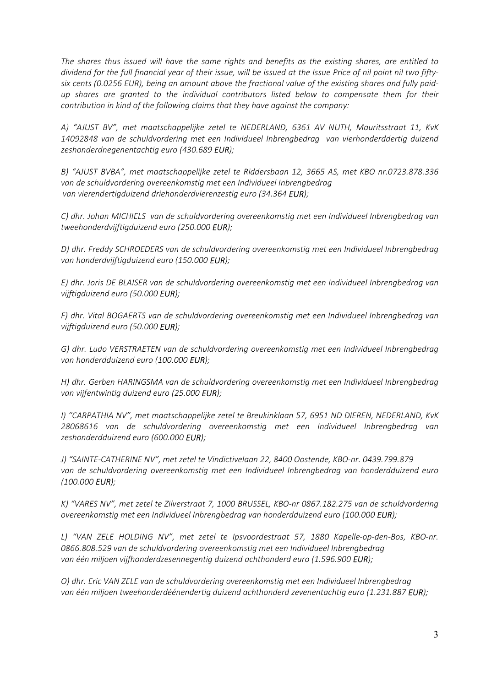The shares thus issued will have the same rights and benefits as the existing shares, are entitled to dividend for the full financial year of their issue, will be issued at the Issue Price of nil point nil two fiftysix cents (0.0256 EUR), being an amount above the fractional value of the existing shares and fully paidup shares are granted to the individual contributors listed below to compensate them for their contribution in kind of the following claims that they have against the company:

A) "AJUST BV", met maatschappelijke zetel te NEDERLAND, 6361 AV NUTH, Mauritsstraat 11, KvK 14092848 van de schuldvordering met een Individueel Inbrengbedrag van vierhonderddertig duizend zeshonderdnegenentachtig euro (430.689 EUR);

B) "AJUST BVBA", met maatschappelijke zetel te Riddersbaan 12, 3665 AS, met KBO nr.0723.878.336 van de schuldvordering overeenkomstig met een Individueel Inbrengbedrag van vierendertigduizend driehonderdvierenzestig euro (34.364 EUR);

C) dhr. Johan MICHIELS van de schuldvordering overeenkomstig met een Individueel Inbrengbedrag van tweehonderdvijftigduizend euro (250.000 EUR);

D) dhr. Freddy SCHROEDERS van de schuldvordering overeenkomstig met een Individueel Inbrengbedrag van honderdvijftigduizend euro (150.000 EUR);

E) dhr. Joris DE BLAISER van de schuldvordering overeenkomstig met een Individueel Inbrengbedrag van vijftigduizend euro (50.000 EUR);

F) dhr. Vital BOGAERTS van de schuldvordering overeenkomstig met een Individueel Inbrengbedrag van vijftigduizend euro (50.000 EUR);

G) dhr. Ludo VERSTRAETEN van de schuldvordering overeenkomstig met een Individueel Inbrengbedrag van honderdduizend euro (100.000 EUR);

H) dhr. Gerben HARINGSMA van de schuldvordering overeenkomstig met een Individueel Inbrengbedrag van vijfentwintig duizend euro (25.000 EUR);

I) "CARPATHIA NV", met maatschappelijke zetel te Breukinklaan 57, 6951 ND DIEREN, NEDERLAND, KvK 28068616 van de schuldvordering overeenkomstig met een Individueel Inbrengbedrag van zeshonderdduizend euro (600.000 EUR);

J) "SAINTE-CATHERINE NV", met zetel te Vindictivelaan 22, 8400 Oostende, KBO-nr. 0439.799.879 van de schuldvordering overeenkomstig met een Individueel Inbrengbedrag van honderdduizend euro (100.000 EUR);

K) "VARES NV", met zetel te Zilverstraat 7, 1000 BRUSSEL, KBO-nr 0867.182.275 van de schuldvordering overeenkomstig met een Individueel Inbrengbedrag van honderdduizend euro (100.000 EUR);

L) "VAN ZELE HOLDING NV", met zetel te Ipsvoordestraat 57, 1880 Kapelle-op-den-Bos, KBO-nr. 0866.808.529 van de schuldvordering overeenkomstig met een Individueel Inbrengbedrag van één miljoen vijfhonderdzesennegentig duizend achthonderd euro (1.596.900 EUR);

O) dhr. Eric VAN ZELE van de schuldvordering overeenkomstig met een Individueel Inbrengbedrag van één miljoen tweehonderdéénendertig duizend achthonderd zevenentachtig euro (1.231.887 EUR);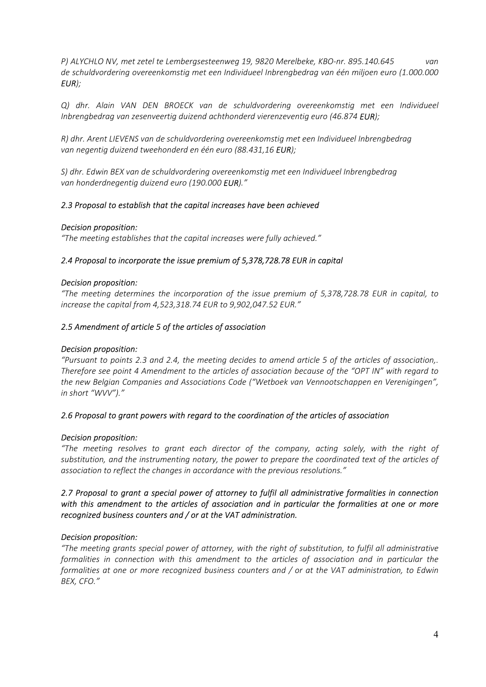P) ALYCHLO NV, met zetel te Lembergsesteenweg 19, 9820 Merelbeke, KBO-nr. 895.140.645 van de schuldvordering overeenkomstig met een Individueel Inbrengbedrag van één miljoen euro (1.000.000 EUR);

Q) dhr. Alain VAN DEN BROECK van de schuldvordering overeenkomstig met een Individueel Inbrengbedrag van zesenveertig duizend achthonderd vierenzeventig euro (46.874 EUR);

R) dhr. Arent LIEVENS van de schuldvordering overeenkomstig met een Individueel Inbrengbedrag van negentig duizend tweehonderd en één euro (88.431,16 EUR);

S) dhr. Edwin BEX van de schuldvordering overeenkomstig met een Individueel Inbrengbedrag van honderdnegentig duizend euro (190.000 EUR)."

#### 2.3 Proposal to establish that the capital increases have been achieved

#### Decision proposition:

"The meeting establishes that the capital increases were fully achieved."

#### 2.4 Proposal to incorporate the issue premium of 5,378,728.78 EUR in capital

#### Decision proposition:

"The meeting determines the incorporation of the issue premium of 5,378,728.78 EUR in capital, to increase the capital from 4,523,318.74 EUR to 9,902,047.52 EUR."

#### 2.5 Amendment of article 5 of the articles of association

#### Decision proposition:

"Pursuant to points 2.3 and 2.4, the meeting decides to amend article 5 of the articles of association,. Therefore see point 4 Amendment to the articles of association because of the "OPT IN" with regard to the new Belgian Companies and Associations Code ("Wetboek van Vennootschappen en Verenigingen", in short "WVV")."

#### 2.6 Proposal to grant powers with regard to the coordination of the articles of association

#### Decision proposition:

"The meeting resolves to grant each director of the company, acting solely, with the right of substitution, and the instrumenting notary, the power to prepare the coordinated text of the articles of association to reflect the changes in accordance with the previous resolutions."

## 2.7 Proposal to grant a special power of attorney to fulfil all administrative formalities in connection with this amendment to the articles of association and in particular the formalities at one or more recognized business counters and / or at the VAT administration.

#### Decision proposition:

"The meeting grants special power of attorney, with the right of substitution, to fulfil all administrative formalities in connection with this amendment to the articles of association and in particular the formalities at one or more recognized business counters and / or at the VAT administration, to Edwin BEX, CFO."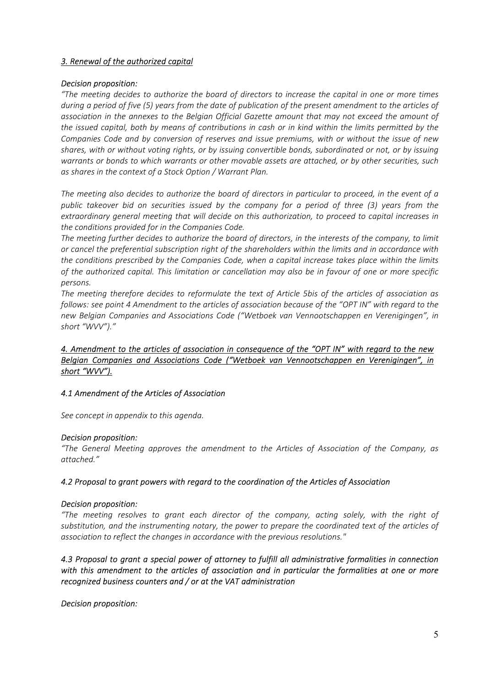# 3. Renewal of the authorized capital

#### Decision proposition:

"The meeting decides to authorize the board of directors to increase the capital in one or more times during a period of five (5) years from the date of publication of the present amendment to the articles of association in the annexes to the Belgian Official Gazette amount that may not exceed the amount of the issued capital, both by means of contributions in cash or in kind within the limits permitted by the Companies Code and by conversion of reserves and issue premiums, with or without the issue of new shares, with or without voting rights, or by issuing convertible bonds, subordinated or not, or by issuing warrants or bonds to which warrants or other movable assets are attached, or by other securities, such as shares in the context of a Stock Option / Warrant Plan.

The meeting also decides to authorize the board of directors in particular to proceed, in the event of a public takeover bid on securities issued by the company for a period of three (3) years from the extraordinary general meeting that will decide on this authorization, to proceed to capital increases in the conditions provided for in the Companies Code.

The meeting further decides to authorize the board of directors, in the interests of the company, to limit or cancel the preferential subscription right of the shareholders within the limits and in accordance with the conditions prescribed by the Companies Code, when a capital increase takes place within the limits of the authorized capital. This limitation or cancellation may also be in favour of one or more specific persons.

The meeting therefore decides to reformulate the text of Article 5bis of the articles of association as follows: see point 4 Amendment to the articles of association because of the "OPT IN" with regard to the new Belgian Companies and Associations Code ("Wetboek van Vennootschappen en Verenigingen", in short "WVV")."

# 4. Amendment to the articles of association in consequence of the "OPT IN" with regard to the new Belgian Companies and Associations Code ("Wetboek van Vennootschappen en Verenigingen", in short "WVV").

# 4.1 Amendment of the Articles of Association

See concept in appendix to this agenda.

#### Decision proposition:

"The General Meeting approves the amendment to the Articles of Association of the Company, as attached."

#### 4.2 Proposal to grant powers with regard to the coordination of the Articles of Association

#### Decision proposition:

"The meeting resolves to grant each director of the company, acting solely, with the right of substitution, and the instrumenting notary, the power to prepare the coordinated text of the articles of association to reflect the changes in accordance with the previous resolutions."

# 4.3 Proposal to grant a special power of attorney to fulfill all administrative formalities in connection with this amendment to the articles of association and in particular the formalities at one or more recognized business counters and / or at the VAT administration

Decision proposition: